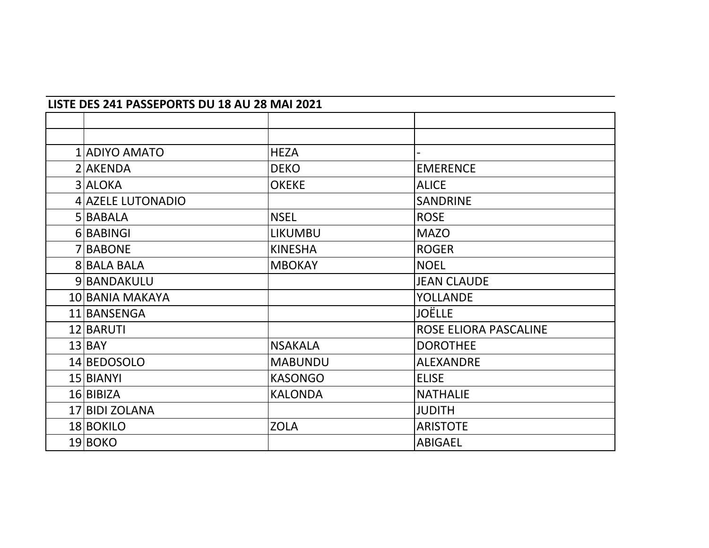## **LISTE DES 241 PASSEPORTS DU 18 AU 28 MAI 2021**

| 1 ADIYO AMATO     | <b>HEZA</b>    |                       |
|-------------------|----------------|-----------------------|
| 2 AKENDA          | <b>DEKO</b>    | <b>EMERENCE</b>       |
| 3 ALOKA           | <b>OKEKE</b>   | <b>ALICE</b>          |
| 4 AZELE LUTONADIO |                | <b>SANDRINE</b>       |
| 5BABALA           | <b>NSEL</b>    | <b>ROSE</b>           |
| 6 BABINGI         | <b>LIKUMBU</b> | <b>MAZO</b>           |
| 7 BABONE          | <b>KINESHA</b> | <b>ROGER</b>          |
| 8 BALA BALA       | <b>MBOKAY</b>  | <b>NOEL</b>           |
| 9 BANDAKULU       |                | <b>JEAN CLAUDE</b>    |
| 10 BANIA MAKAYA   |                | <b>YOLLANDE</b>       |
| 11 BANSENGA       |                | <b>JOËLLE</b>         |
| 12 BARUTI         |                | ROSE ELIORA PASCALINE |
| $13$ $BAY$        | <b>NSAKALA</b> | <b>DOROTHEE</b>       |
| 14 BEDOSOLO       | <b>MABUNDU</b> | <b>ALEXANDRE</b>      |
| 15 BIANYI         | <b>KASONGO</b> | <b>ELISE</b>          |
| 16 BIBIZA         | <b>KALONDA</b> | <b>NATHALIE</b>       |
| 17 BIDI ZOLANA    |                | <b>JUDITH</b>         |
| 18 BOKILO         | <b>ZOLA</b>    | <b>ARISTOTE</b>       |
| 19 BOKO           |                | <b>ABIGAEL</b>        |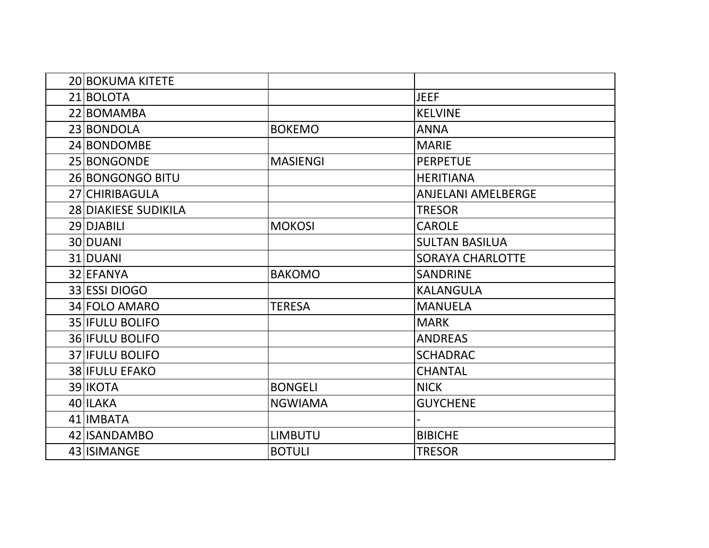| 20 BOKUMA KITETE       |                 |                         |
|------------------------|-----------------|-------------------------|
| 21 BOLOTA              |                 | <b>JEEF</b>             |
| 22 BOMAMBA             |                 | <b>KELVINE</b>          |
| 23 BONDOLA             | <b>BOKEMO</b>   | <b>ANNA</b>             |
| 24 BONDOMBE            |                 | <b>MARIE</b>            |
| 25 BONGONDE            | <b>MASIENGI</b> | <b>PERPETUE</b>         |
| 26 BONGONGO BITU       |                 | <b>HERITIANA</b>        |
| 27 CHIRIBAGULA         |                 | ANJELANI AMELBERGE      |
| 28 DIAKIESE SUDIKILA   |                 | <b>TRESOR</b>           |
| 29 DJABILI             | <b>MOKOSI</b>   | <b>CAROLE</b>           |
| 30 DUANI               |                 | <b>SULTAN BASILUA</b>   |
| 31 DUANI               |                 | <b>SORAYA CHARLOTTE</b> |
| 32 EFANYA              | <b>BAKOMO</b>   | <b>SANDRINE</b>         |
| 33 ESSI DIOGO          |                 | <b>KALANGULA</b>        |
| 34 FOLO AMARO          | <b>TERESA</b>   | <b>MANUELA</b>          |
| 35 <b>IFULU BOLIFO</b> |                 | <b>MARK</b>             |
| 36 <b>IFULU BOLIFO</b> |                 | <b>ANDREAS</b>          |
| 37 IFULU BOLIFO        |                 | <b>SCHADRAC</b>         |
| 38 IFULU EFAKO         |                 | <b>CHANTAL</b>          |
| 39 IKOTA               | <b>BONGELI</b>  | <b>NICK</b>             |
| 40 ILAKA               | <b>NGWIAMA</b>  | <b>GUYCHENE</b>         |
| 41 IMBATA              |                 |                         |
| 42 ISANDAMBO           | <b>LIMBUTU</b>  | <b>BIBICHE</b>          |
| 43 ISIMANGE            | <b>BOTULI</b>   | <b>TRESOR</b>           |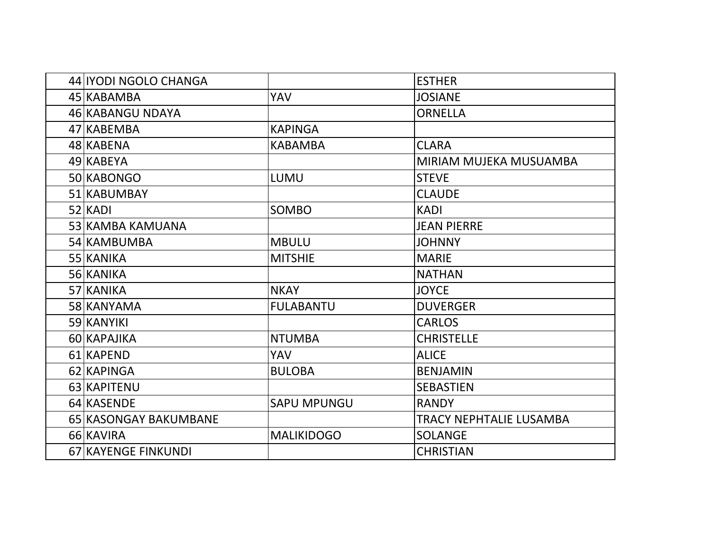| 44 IYODI NGOLO CHANGA |                    | <b>ESTHER</b>           |
|-----------------------|--------------------|-------------------------|
| 45 KABAMBA            | YAV                | <b>JOSIANE</b>          |
| 46 KABANGU NDAYA      |                    | <b>ORNELLA</b>          |
| 47 KABEMBA            | <b>KAPINGA</b>     |                         |
| 48 KABENA             | <b>KABAMBA</b>     | <b>CLARA</b>            |
| 49 KABEYA             |                    | MIRIAM MUJEKA MUSUAMBA  |
| 50 KABONGO            | <b>LUMU</b>        | <b>STEVE</b>            |
| 51 KABUMBAY           |                    | <b>CLAUDE</b>           |
| 52 KADI               | SOMBO              | <b>KADI</b>             |
| 53 KAMBA KAMUANA      |                    | <b>JEAN PIERRE</b>      |
| 54 KAMBUMBA           | <b>MBULU</b>       | <b>JOHNNY</b>           |
| 55 KANIKA             | <b>MITSHIE</b>     | <b>MARIE</b>            |
| 56 KANIKA             |                    | <b>NATHAN</b>           |
| 57 KANIKA             | <b>NKAY</b>        | <b>JOYCE</b>            |
| 58 KANYAMA            | <b>FULABANTU</b>   | <b>DUVERGER</b>         |
| 59 KANYIKI            |                    | <b>CARLOS</b>           |
| 60 KAPAJIKA           | <b>NTUMBA</b>      | <b>CHRISTELLE</b>       |
| 61 KAPEND             | YAV                | <b>ALICE</b>            |
| 62 KAPINGA            | <b>BULOBA</b>      | <b>BENJAMIN</b>         |
| 63 KAPITENU           |                    | <b>SEBASTIEN</b>        |
| 64 KASENDE            | <b>SAPU MPUNGU</b> | <b>RANDY</b>            |
| 65 KASONGAY BAKUMBANE |                    | TRACY NEPHTALIE LUSAMBA |
| 66 KAVIRA             | <b>MALIKIDOGO</b>  | <b>SOLANGE</b>          |
| 67 KAYENGE FINKUNDI   |                    | <b>CHRISTIAN</b>        |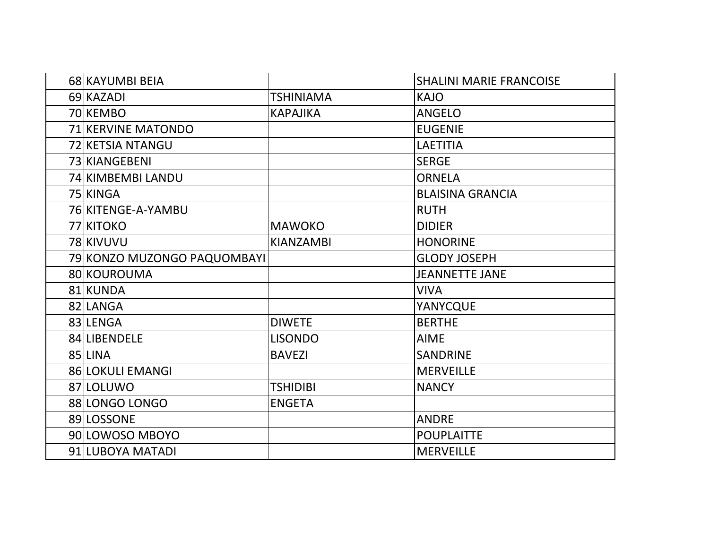| 68 KAYUMBI BEIA             |                  | <b>SHALINI MARIE FRANCOISE</b> |
|-----------------------------|------------------|--------------------------------|
| 69 KAZADI                   | <b>TSHINIAMA</b> | <b>KAJO</b>                    |
| 70 KEMBO                    | <b>KAPAJIKA</b>  | <b>ANGELO</b>                  |
| <b>71 KERVINE MATONDO</b>   |                  | <b>EUGENIE</b>                 |
| 72 KETSIA NTANGU            |                  | <b>LAETITIA</b>                |
| 73 KIANGEBENI               |                  | <b>SERGE</b>                   |
| 74 KIMBEMBI LANDU           |                  | <b>ORNELA</b>                  |
| 75 KINGA                    |                  | <b>BLAISINA GRANCIA</b>        |
| 76 KITENGE-A-YAMBU          |                  | <b>RUTH</b>                    |
| 77 KITOKO                   | <b>MAWOKO</b>    | <b>DIDIER</b>                  |
| 78 KIVUVU                   | <b>KIANZAMBI</b> | <b>HONORINE</b>                |
| 79 KONZO MUZONGO PAQUOMBAYI |                  | <b>GLODY JOSEPH</b>            |
| 80 KOUROUMA                 |                  | <b>JEANNETTE JANE</b>          |
| 81 KUNDA                    |                  | <b>VIVA</b>                    |
| 82 LANGA                    |                  | YANYCQUE                       |
| 83 LENGA                    | <b>DIWETE</b>    | <b>BERTHE</b>                  |
| 84 LIBENDELE                | <b>LISONDO</b>   | <b>AIME</b>                    |
| 85 LINA                     | <b>BAVEZI</b>    | <b>SANDRINE</b>                |
| 86 LOKULI EMANGI            |                  | <b>MERVEILLE</b>               |
| 87 LOLUWO                   | <b>TSHIDIBI</b>  | <b>NANCY</b>                   |
| 88 LONGO LONGO              | <b>ENGETA</b>    |                                |
| 89 LOSSONE                  |                  | <b>ANDRE</b>                   |
| 90 LOWOSO MBOYO             |                  | <b>POUPLAITTE</b>              |
| 91 LUBOYA MATADI            |                  | <b>MERVEILLE</b>               |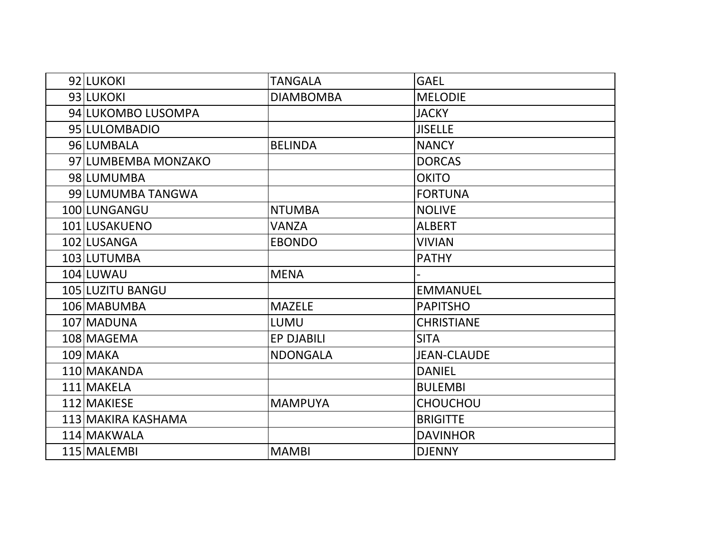| 92 LUKOKI           | <b>TANGALA</b>    | <b>GAEL</b>        |
|---------------------|-------------------|--------------------|
| 93 LUKOKI           | <b>DIAMBOMBA</b>  | <b>MELODIE</b>     |
| 94 LUKOMBO LUSOMPA  |                   | <b>JACKY</b>       |
| 95 LULOMBADIO       |                   | <b>JISELLE</b>     |
| 96 LUMBALA          | <b>BELINDA</b>    | <b>NANCY</b>       |
| 97 LUMBEMBA MONZAKO |                   | <b>DORCAS</b>      |
| 98 LUMUMBA          |                   | <b>OKITO</b>       |
| 99 LUMUMBA TANGWA   |                   | <b>FORTUNA</b>     |
| 100 LUNGANGU        | <b>NTUMBA</b>     | <b>NOLIVE</b>      |
| 101 LUSAKUENO       | <b>VANZA</b>      | <b>ALBERT</b>      |
| 102 LUSANGA         | <b>EBONDO</b>     | <b>VIVIAN</b>      |
| 103 LUTUMBA         |                   | PATHY              |
| 104 LUWAU           | <b>MENA</b>       |                    |
| 105 LUZITU BANGU    |                   | <b>EMMANUEL</b>    |
| 106 MABUMBA         | <b>MAZELE</b>     | <b>PAPITSHO</b>    |
| 107 MADUNA          | LUMU              | <b>CHRISTIANE</b>  |
| 108 MAGEMA          | <b>EP DJABILI</b> | <b>SITA</b>        |
| $109$ MAKA          | <b>NDONGALA</b>   | <b>JEAN-CLAUDE</b> |
| 110 MAKANDA         |                   | <b>DANIEL</b>      |
| 111 MAKELA          |                   | <b>BULEMBI</b>     |
| 112 MAKIESE         | <b>MAMPUYA</b>    | <b>CHOUCHOU</b>    |
| 113 MAKIRA KASHAMA  |                   | <b>BRIGITTE</b>    |
| 114 MAKWALA         |                   | <b>DAVINHOR</b>    |
| 115 MALEMBI         | <b>MAMBI</b>      | <b>DJENNY</b>      |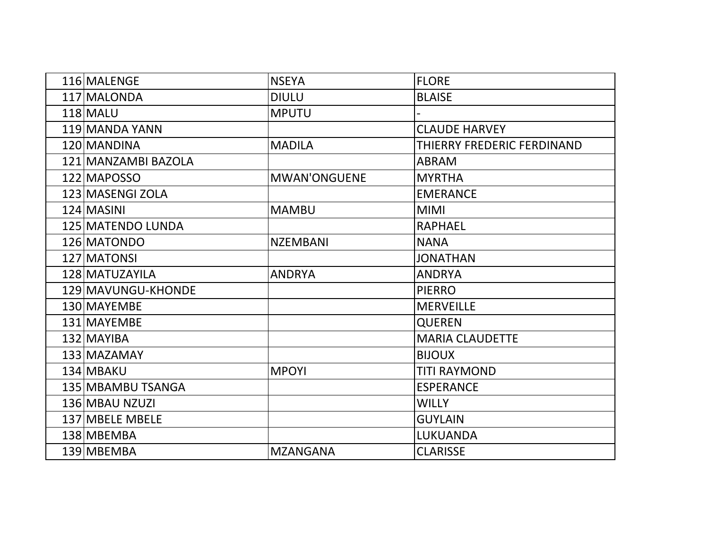| 116 MALENGE         | <b>NSEYA</b>        | <b>FLORE</b>               |
|---------------------|---------------------|----------------------------|
| 117 MALONDA         | <b>DIULU</b>        | <b>BLAISE</b>              |
| 118 MALU            | <b>MPUTU</b>        |                            |
| 119 MANDA YANN      |                     | <b>CLAUDE HARVEY</b>       |
| 120 MANDINA         | <b>MADILA</b>       | THIERRY FREDERIC FERDINAND |
| 121 MANZAMBI BAZOLA |                     | <b>ABRAM</b>               |
| 122 MAPOSSO         | <b>MWAN'ONGUENE</b> | <b>MYRTHA</b>              |
| 123 MASENGI ZOLA    |                     | <b>EMERANCE</b>            |
| 124 MASINI          | <b>MAMBU</b>        | <b>MIMI</b>                |
| 125 MATENDO LUNDA   |                     | <b>RAPHAEL</b>             |
| 126 MATONDO         | <b>NZEMBANI</b>     | <b>NANA</b>                |
| 127 MATONSI         |                     | <b>JONATHAN</b>            |
| 128 MATUZAYILA      | <b>ANDRYA</b>       | <b>ANDRYA</b>              |
| 129 MAVUNGU-KHONDE  |                     | <b>PIERRO</b>              |
| 130 MAYEMBE         |                     | <b>MERVEILLE</b>           |
| 131 MAYEMBE         |                     | <b>QUEREN</b>              |
| 132 MAYIBA          |                     | <b>MARIA CLAUDETTE</b>     |
| 133 MAZAMAY         |                     | <b>BIJOUX</b>              |
| 134 MBAKU           | <b>MPOYI</b>        | <b>TITI RAYMOND</b>        |
| 135 MBAMBU TSANGA   |                     | <b>ESPERANCE</b>           |
| 136 MBAU NZUZI      |                     | <b>WILLY</b>               |
| 137 MBELE MBELE     |                     | <b>GUYLAIN</b>             |
| 138 MBEMBA          |                     | LUKUANDA                   |
| 139 MBEMBA          | <b>MZANGANA</b>     | <b>CLARISSE</b>            |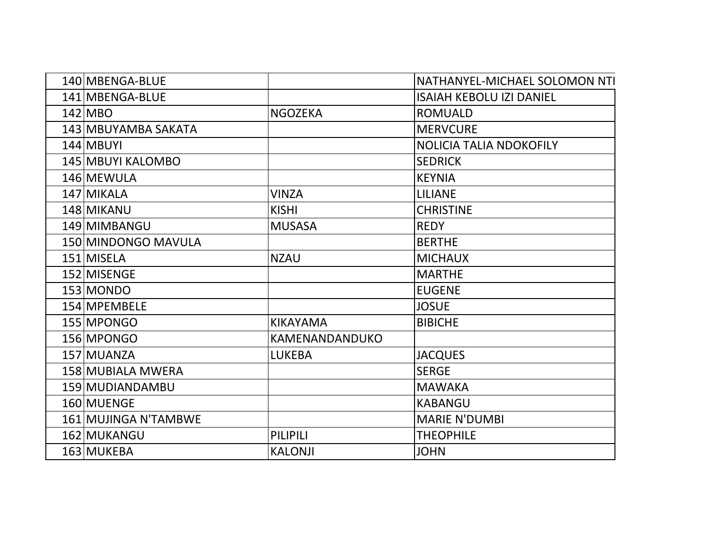| 140 MBENGA-BLUE      |                 | NATHANYEL-MICHAEL SOLOMON NTI   |
|----------------------|-----------------|---------------------------------|
| 141 MBENGA-BLUE      |                 | <b>ISAIAH KEBOLU IZI DANIEL</b> |
| $142$ MBO            | <b>NGOZEKA</b>  | <b>ROMUALD</b>                  |
| 143 MBUYAMBA SAKATA  |                 | <b>MERVCURE</b>                 |
| 144 MBUYI            |                 | <b>NOLICIA TALIA NDOKOFILY</b>  |
| 145 MBUYI KALOMBO    |                 | <b>SEDRICK</b>                  |
| 146 MEWULA           |                 | <b>KEYNIA</b>                   |
| 147 MIKALA           | <b>VINZA</b>    | <b>LILIANE</b>                  |
| 148 MIKANU           | <b>KISHI</b>    | <b>CHRISTINE</b>                |
| 149 MIMBANGU         | <b>MUSASA</b>   | <b>REDY</b>                     |
| 150 MINDONGO MAVULA  |                 | <b>BERTHE</b>                   |
| 151 MISELA           | <b>NZAU</b>     | <b>MICHAUX</b>                  |
| 152 MISENGE          |                 | <b>MARTHE</b>                   |
| 153 MONDO            |                 | <b>EUGENE</b>                   |
| 154 MPEMBELE         |                 | <b>JOSUE</b>                    |
| 155 MPONGO           | <b>KIKAYAMA</b> | <b>BIBICHE</b>                  |
| 156 MPONGO           | KAMENANDANDUKO  |                                 |
| 157 MUANZA           | <b>LUKEBA</b>   | <b>JACQUES</b>                  |
| 158 MUBIALA MWERA    |                 | <b>SERGE</b>                    |
| 159 MUDIANDAMBU      |                 | <b>MAWAKA</b>                   |
| 160 MUENGE           |                 | <b>KABANGU</b>                  |
| 161 MUJINGA N'TAMBWE |                 | <b>MARIE N'DUMBI</b>            |
| 162 MUKANGU          | <b>PILIPILI</b> | <b>THEOPHILE</b>                |
| 163 MUKEBA           | <b>KALONJI</b>  | <b>JOHN</b>                     |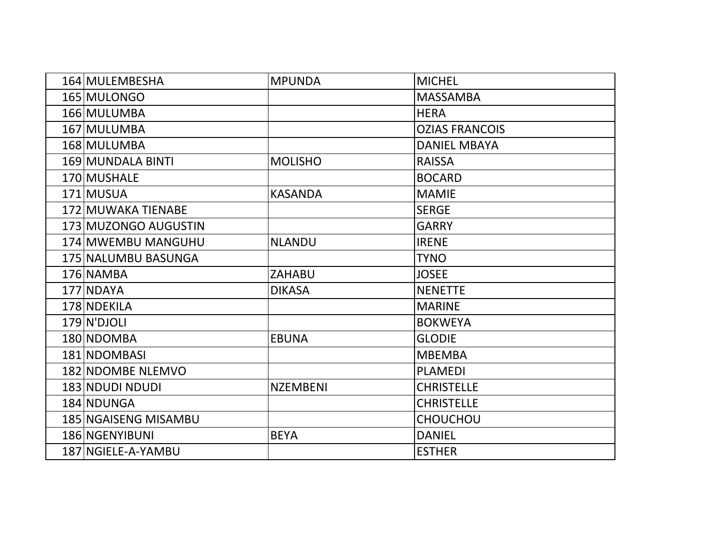| 164 MULEMBESHA       | <b>MPUNDA</b>   | <b>MICHEL</b>         |
|----------------------|-----------------|-----------------------|
| 165 MULONGO          |                 | <b>MASSAMBA</b>       |
| 166 MULUMBA          |                 | <b>HERA</b>           |
| 167 MULUMBA          |                 | <b>OZIAS FRANCOIS</b> |
| 168 MULUMBA          |                 | <b>DANIEL MBAYA</b>   |
| 169 MUNDALA BINTI    | <b>MOLISHO</b>  | <b>RAISSA</b>         |
| 170 MUSHALE          |                 | <b>BOCARD</b>         |
| 171 MUSUA            | <b>KASANDA</b>  | <b>MAMIE</b>          |
| 172 MUWAKA TIENABE   |                 | <b>SERGE</b>          |
| 173 MUZONGO AUGUSTIN |                 | <b>GARRY</b>          |
| 174 MWEMBU MANGUHU   | <b>NLANDU</b>   | <b>IRENE</b>          |
| 175 NALUMBU BASUNGA  |                 | <b>TYNO</b>           |
| 176 NAMBA            | <b>ZAHABU</b>   | <b>JOSEE</b>          |
| 177 NDAYA            | <b>DIKASA</b>   | <b>NENETTE</b>        |
| 178 NDEKILA          |                 | <b>MARINE</b>         |
| $179$ N'DJOLI        |                 | <b>BOKWEYA</b>        |
| 180 NDOMBA           | <b>EBUNA</b>    | <b>GLODIE</b>         |
| 181 NDOMBASI         |                 | <b>MBEMBA</b>         |
| 182 NDOMBE NLEMVO    |                 | <b>PLAMEDI</b>        |
| 183 NDUDI NDUDI      | <b>NZEMBENI</b> | <b>CHRISTELLE</b>     |
| 184 NDUNGA           |                 | <b>CHRISTELLE</b>     |
| 185 NGAISENG MISAMBU |                 | <b>CHOUCHOU</b>       |
| 186 NGENYIBUNI       | <b>BEYA</b>     | <b>DANIEL</b>         |
| 187 NGIELE-A-YAMBU   |                 | <b>ESTHER</b>         |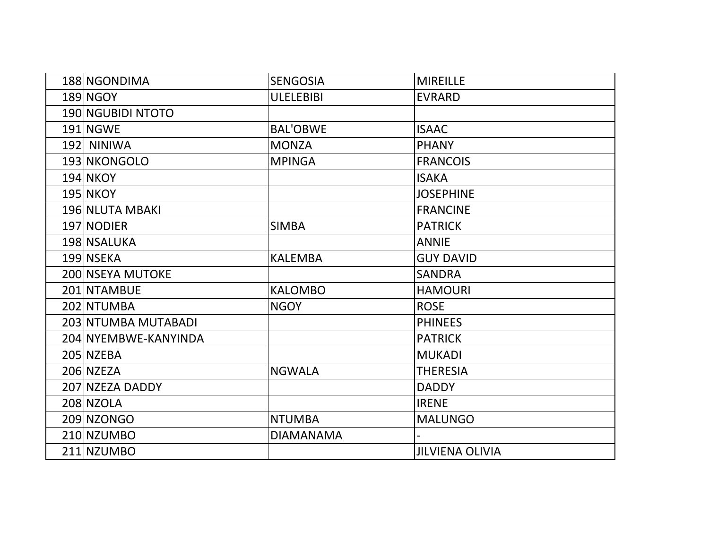| 188 NGONDIMA            | <b>SENGOSIA</b>  | <b>MIREILLE</b>        |
|-------------------------|------------------|------------------------|
| $189$ NGOY              | <b>ULELEBIBI</b> | <b>EVRARD</b>          |
| 190 NGUBIDI NTOTO       |                  |                        |
| 191 NGWE                | <b>BAL'OBWE</b>  | <b>ISAAC</b>           |
| 192 NINIWA              | <b>MONZA</b>     | <b>PHANY</b>           |
| 193 NKONGOLO            | <b>MPINGA</b>    | <b>FRANCOIS</b>        |
| <b>194 NKOY</b>         |                  | <b>ISAKA</b>           |
| <b>195 NKOY</b>         |                  | <b>JOSEPHINE</b>       |
| 196 NLUTA MBAKI         |                  | <b>FRANCINE</b>        |
| 197 NODIER              | <b>SIMBA</b>     | <b>PATRICK</b>         |
| 198 NSALUKA             |                  | <b>ANNIE</b>           |
| 199 NSEKA               | <b>KALEMBA</b>   | <b>GUY DAVID</b>       |
| <b>200 NSEYA MUTOKE</b> |                  | <b>SANDRA</b>          |
| 201 NTAMBUE             | <b>KALOMBO</b>   | <b>HAMOURI</b>         |
| 202 NTUMBA              | <b>NGOY</b>      | <b>ROSE</b>            |
| 203 NTUMBA MUTABADI     |                  | <b>PHINEES</b>         |
| 204 NYEMBWE-KANYINDA    |                  | <b>PATRICK</b>         |
| 205 NZEBA               |                  | <b>MUKADI</b>          |
| 206 NZEZA               | <b>NGWALA</b>    | <b>THERESIA</b>        |
| 207 NZEZA DADDY         |                  | <b>DADDY</b>           |
| 208 NZOLA               |                  | <b>IRENE</b>           |
| 209 NZONGO              | <b>NTUMBA</b>    | <b>MALUNGO</b>         |
| 210 NZUMBO              | <b>DIAMANAMA</b> |                        |
| 211 NZUMBO              |                  | <b>JILVIENA OLIVIA</b> |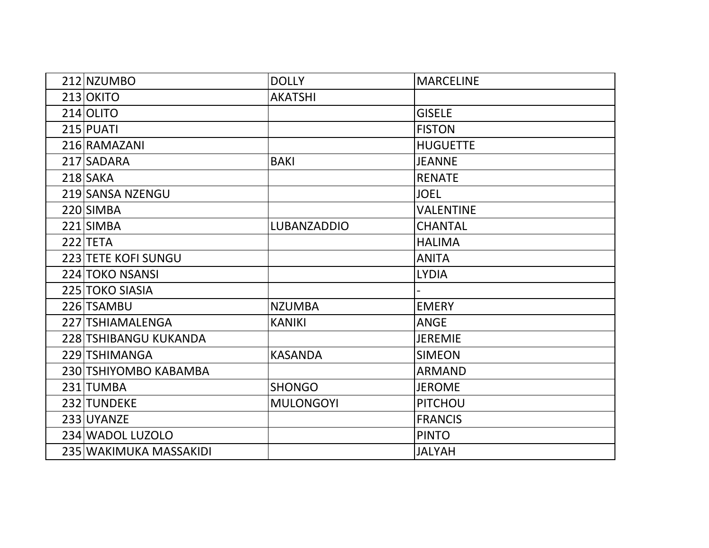| 212 NZUMBO                 | <b>DOLLY</b>       | <b>MARCELINE</b> |
|----------------------------|--------------------|------------------|
| 213 OKITO                  | <b>AKATSHI</b>     |                  |
| 214 OLITO                  |                    | <b>GISELE</b>    |
| 215 PUATI                  |                    | <b>FISTON</b>    |
| 216 RAMAZANI               |                    | <b>HUGUETTE</b>  |
| 217 SADARA                 | <b>BAKI</b>        | <b>JEANNE</b>    |
| 218 SAKA                   |                    | <b>RENATE</b>    |
| 219 SANSA NZENGU           |                    | <b>JOEL</b>      |
| 220 SIMBA                  |                    | <b>VALENTINE</b> |
| 221 SIMBA                  | <b>LUBANZADDIO</b> | <b>CHANTAL</b>   |
| $222$ TETA                 |                    | <b>HALIMA</b>    |
| <b>223 TETE KOFI SUNGU</b> |                    | <b>ANITA</b>     |
| 224 TOKO NSANSI            |                    | <b>LYDIA</b>     |
| 225 TOKO SIASIA            |                    |                  |
| 226 TSAMBU                 | <b>NZUMBA</b>      | <b>EMERY</b>     |
| 227 TSHIAMALENGA           | <b>KANIKI</b>      | <b>ANGE</b>      |
| 228 TSHIBANGU KUKANDA      |                    | <b>JEREMIE</b>   |
| 229 TSHIMANGA              | <b>KASANDA</b>     | <b>SIMEON</b>    |
| 230 TSHIYOMBO KABAMBA      |                    | <b>ARMAND</b>    |
| 231 TUMBA                  | <b>SHONGO</b>      | <b>JEROME</b>    |
| 232 TUNDEKE                | <b>MULONGOYI</b>   | PITCHOU          |
| 233 UYANZE                 |                    | <b>FRANCIS</b>   |
| 234 WADOL LUZOLO           |                    | <b>PINTO</b>     |
| 235 WAKIMUKA MASSAKIDI     |                    | <b>JALYAH</b>    |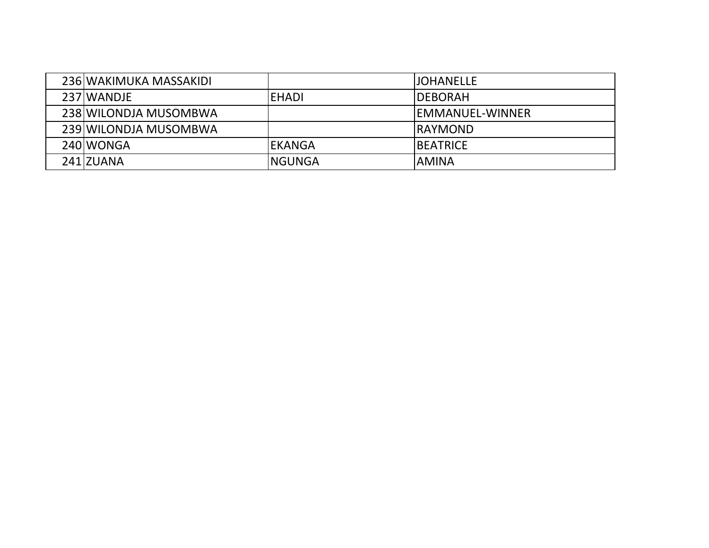| 236 WAKIMUKA MASSAKIDI |               | IJOHANELLE       |
|------------------------|---------------|------------------|
| 237 WANDJE             | <b>IEHADI</b> | IDEBORAH         |
| 238 WILONDJA MUSOMBWA  |               | IEMMANUEL-WINNER |
| 239 WILONDJA MUSOMBWA  |               | <b>IRAYMOND</b>  |
| 240 WONGA              | IEKANGA       | <b>BEATRICE</b>  |
| 241 ZUANA              | INGUNGA       | <b>AMINA</b>     |